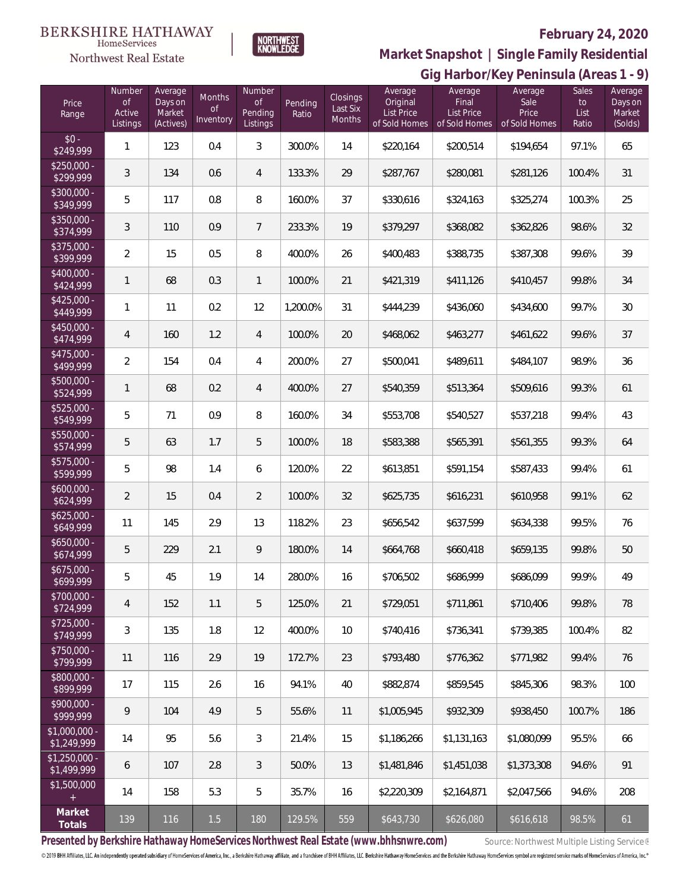### **BERKSHIRE HATHAWAY**  $\label{lem:sevices} \textsc{Home} \textsc{Service} \textsc{s}$



NORTHWEST<br>KNOWLEDGE

# **February 24, 2020**

**Market Snapshot | Single Family Residential**

|                               |                                    |                                           |                                  |                                            | Gig Harbor/Key Peninsula (Areas 1 - 9) |                                |                                                    |                                                        |                                           |                              |                                         |  |
|-------------------------------|------------------------------------|-------------------------------------------|----------------------------------|--------------------------------------------|----------------------------------------|--------------------------------|----------------------------------------------------|--------------------------------------------------------|-------------------------------------------|------------------------------|-----------------------------------------|--|
| Price<br>Range                | Number<br>of<br>Active<br>Listings | Average<br>Days on<br>Market<br>(Actives) | Months<br><b>of</b><br>Inventory | Number<br><b>of</b><br>Pending<br>Listings | Pending<br>Ratio                       | Closings<br>Last Six<br>Months | Average<br>Original<br>List Price<br>of Sold Homes | Average<br>Final<br><b>List Price</b><br>of Sold Homes | Average<br>Sale<br>Price<br>of Sold Homes | Sales<br>to<br>List<br>Ratio | Average<br>Days on<br>Market<br>(Solds) |  |
| $$0 -$<br>\$249,999           | $\mathbf{1}$                       | 123                                       | 0.4                              | $\mathfrak{Z}$                             | 300.0%                                 | 14                             | \$220,164                                          | \$200,514                                              | \$194,654                                 | 97.1%                        | 65                                      |  |
| $$250,000 -$<br>\$299,999     | 3                                  | 134                                       | 0.6                              | 4                                          | 133.3%                                 | 29                             | \$287,767                                          | \$280,081                                              | \$281,126                                 | 100.4%                       | 31                                      |  |
| $$300,000 -$<br>\$349,999     | 5                                  | 117                                       | 0.8                              | 8                                          | 160.0%                                 | 37                             | \$330,616                                          | \$324,163                                              | \$325,274                                 | 100.3%                       | 25                                      |  |
| $$350,000 -$<br>\$374,999     | 3                                  | 110                                       | 0.9                              | 7                                          | 233.3%                                 | 19                             | \$379,297                                          | \$368,082                                              | \$362,826                                 | 98.6%                        | 32                                      |  |
| $$375,000 -$<br>\$399,999     | $\overline{2}$                     | 15                                        | 0.5                              | 8                                          | 400.0%                                 | 26                             | \$400,483                                          | \$388,735                                              | \$387,308                                 | 99.6%                        | 39                                      |  |
| $$400,000 -$<br>\$424,999     | $\mathbf{1}$                       | 68                                        | 0.3                              | $\mathbf{1}$                               | 100.0%                                 | 21                             | \$421,319                                          | \$411,126                                              | \$410,457                                 | 99.8%                        | 34                                      |  |
| $$425,000 -$<br>\$449,999     | $\mathbf{1}$                       | 11                                        | 0.2                              | 12                                         | 1,200.0%                               | 31                             | \$444,239                                          | \$436,060                                              | \$434,600                                 | 99.7%                        | 30                                      |  |
| $$450,000 -$<br>\$474,999     | 4                                  | 160                                       | 1.2                              | $\overline{4}$                             | 100.0%                                 | 20                             | \$468,062                                          | \$463,277                                              | \$461,622                                 | 99.6%                        | 37                                      |  |
| $$475,000 -$<br>\$499,999     | $\overline{2}$                     | 154                                       | 0.4                              | $\overline{4}$                             | 200.0%                                 | 27                             | \$500,041                                          | \$489,611                                              | \$484,107                                 | 98.9%                        | 36                                      |  |
| $$500,000 -$<br>\$524,999     | $\mathbf{1}$                       | 68                                        | 0.2                              | $\overline{4}$                             | 400.0%                                 | 27                             | \$540,359                                          | \$513,364                                              | \$509,616                                 | 99.3%                        | 61                                      |  |
| $$525,000 -$<br>\$549,999     | 5                                  | 71                                        | 0.9                              | 8                                          | 160.0%                                 | 34                             | \$553,708                                          | \$540,527                                              | \$537,218                                 | 99.4%                        | 43                                      |  |
| $$550,000 -$<br>\$574,999     | 5                                  | 63                                        | 1.7                              | 5                                          | 100.0%                                 | 18                             | \$583,388                                          | \$565,391                                              | \$561,355                                 | 99.3%                        | 64                                      |  |
| \$575,000 -<br>\$599,999      | 5                                  | 98                                        | 1.4                              | 6                                          | 120.0%                                 | 22                             | \$613,851                                          | \$591,154                                              | \$587,433                                 | 99.4%                        | 61                                      |  |
| $$600,000 -$<br>\$624,999     | $\overline{2}$                     | 15                                        | 0.4                              | $\overline{2}$                             | 100.0%                                 | 32                             | \$625,735                                          | \$616,231                                              | \$610,958                                 | 99.1%                        | 62                                      |  |
| $$625,000 -$<br>\$649,999     | 11                                 | 145                                       | 2.9                              | 13                                         | 118.2%                                 | 23                             | \$656,542                                          | \$637,599                                              | \$634,338                                 | 99.5%                        | 76                                      |  |
| $$650,000 -$<br>\$674,999     | 5                                  | 229                                       | 2.1                              | 9                                          | 180.0%                                 | 14                             | \$664,768                                          | \$660,418                                              | \$659,135                                 | 99.8%                        | $50\,$                                  |  |
| \$675,000 -<br>\$699,999      | 5                                  | 45                                        | 1.9                              | 14                                         | 280.0%                                 | 16                             | \$706,502                                          | \$686,999                                              | \$686,099                                 | 99.9%                        | 49                                      |  |
| \$700,000 -<br>\$724,999      | 4                                  | 152                                       | 1.1                              | 5                                          | 125.0%                                 | 21                             | \$729,051                                          | \$711,861                                              | \$710,406                                 | 99.8%                        | 78                                      |  |
| $$725,000 -$<br>\$749,999     | 3                                  | 135                                       | 1.8                              | 12                                         | 400.0%                                 | 10                             | \$740,416                                          | \$736,341                                              | \$739,385                                 | 100.4%                       | 82                                      |  |
| $$750,000 -$<br>\$799,999     | 11                                 | 116                                       | 2.9                              | 19                                         | 172.7%                                 | 23                             | \$793,480                                          | \$776,362                                              | \$771.982                                 | 99.4%                        | 76                                      |  |
| \$800,000 -<br>\$899,999      | 17                                 | 115                                       | 2.6                              | 16                                         | 94.1%                                  | 40                             | \$882,874                                          | \$859,545                                              | \$845,306                                 | 98.3%                        | 100                                     |  |
| \$900,000 -<br>\$999,999      | 9                                  | 104                                       | 4.9                              | 5                                          | 55.6%                                  | 11                             | \$1,005.945                                        | \$932,309                                              | \$938,450                                 | 100.7%                       | 186                                     |  |
| $$1,000,000 -$<br>\$1,249,999 | 14                                 | 95                                        | 5.6                              | 3                                          | 21.4%                                  | 15                             | \$1,186,266                                        | \$1,131,163                                            | \$1,080,099                               | 95.5%                        | 66                                      |  |
| $$1,250,000 -$<br>\$1,499,999 | 6                                  | 107                                       | 2.8                              | 3                                          | 50.0%                                  | 13                             | \$1,481,846                                        | \$1,451,038                                            | \$1,373,308                               | 94.6%                        | 91                                      |  |
| \$1,500,000                   | 14                                 | 158                                       | 5.3                              | 5                                          | 35.7%                                  | 16                             | \$2,220,309                                        | \$2,164,871                                            | \$2,047,566                               | 94.6%                        | 208                                     |  |
| Market<br>Totals              | 139                                | 116                                       | 1.5                              | 180                                        | 129.5%                                 | 559                            | \$643,730                                          | \$626,080                                              | \$616,618                                 | 98.5%                        | 61                                      |  |

Presented by Berkshire Hathaway HomeServices Northwest Real Estate (www.bhhsnwre.com) Source: Northwest Multiple Listing Service®

© 2019 BHH Affiliates, LLC. An independently operated subsidiary of HomeServices of America, Inc., a Berkshire Hathaway affiliate, and a franchisee of BHH Affiliates, LLC. Berkshire Hathaway HomeServices and the Berkshire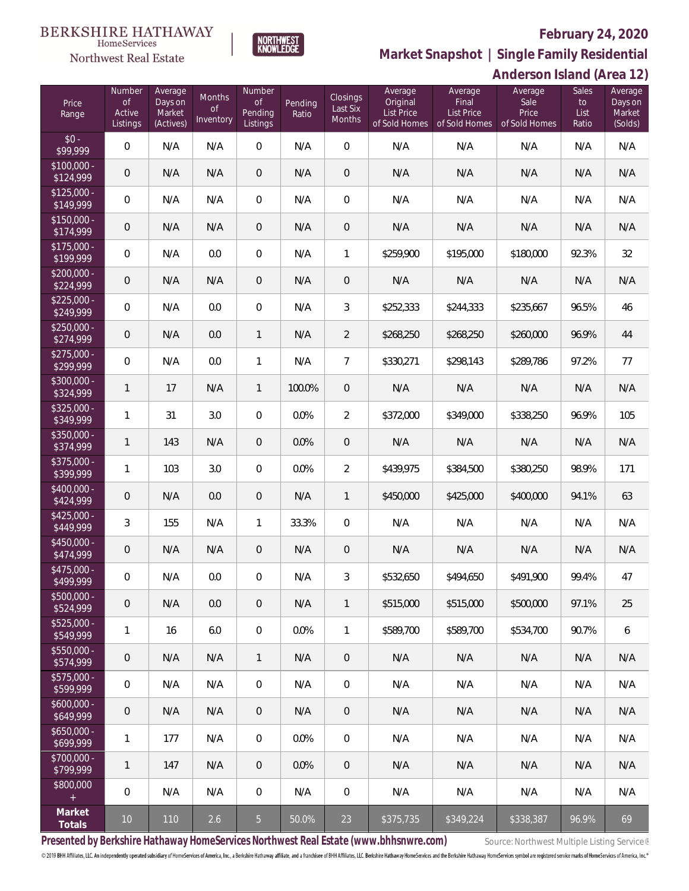## **February 24, 2020**



**Market Snapshot | Single Family Residential**

### $\label{lem:sevices} \textsc{Home} \textsc{Service} \textsc{s}$ Northwest Real Estate

**BERKSHIRE HATHAWAY** 

|                           | Anderson Island (Area 12)                 |                                           |                                  |                                            |                  |                                |                                                           |                                                        |                                           |                              |                                         |
|---------------------------|-------------------------------------------|-------------------------------------------|----------------------------------|--------------------------------------------|------------------|--------------------------------|-----------------------------------------------------------|--------------------------------------------------------|-------------------------------------------|------------------------------|-----------------------------------------|
| Price<br>Range            | Number<br><b>of</b><br>Active<br>Listings | Average<br>Days on<br>Market<br>(Actives) | Months<br><b>of</b><br>Inventory | Number<br><b>of</b><br>Pending<br>Listings | Pending<br>Ratio | Closings<br>Last Six<br>Months | Average<br>Original<br><b>List Price</b><br>of Sold Homes | Average<br>Final<br><b>List Price</b><br>of Sold Homes | Average<br>Sale<br>Price<br>of Sold Homes | Sales<br>to<br>List<br>Ratio | Average<br>Days on<br>Market<br>(Solds) |
| $$0 -$<br>\$99,999        | $\mathbf 0$                               | N/A                                       | N/A                              | $\mathbf 0$                                | N/A              | $\mathbf 0$                    | N/A                                                       | N/A                                                    | N/A                                       | N/A                          | N/A                                     |
| $$100,000 -$<br>\$124,999 | $\mathbf 0$                               | N/A                                       | N/A                              | $\overline{0}$                             | N/A              | $\mathbf 0$                    | N/A                                                       | N/A                                                    | N/A                                       | N/A                          | N/A                                     |
| $$125,000 -$<br>\$149,999 | $\mathbf 0$                               | N/A                                       | N/A                              | $\mathbf 0$                                | N/A              | $\mathbf 0$                    | N/A                                                       | N/A                                                    | N/A                                       | N/A                          | N/A                                     |
| $$150,000 -$<br>\$174,999 | $\mathbf 0$                               | N/A                                       | N/A                              | $\overline{0}$                             | N/A              | $\mathbf 0$                    | N/A                                                       | N/A                                                    | N/A                                       | N/A                          | N/A                                     |
| $$175,000 -$<br>\$199,999 | $\mathbf 0$                               | N/A                                       | 0.0                              | $\mathbf 0$                                | N/A              | $\mathbf{1}$                   | \$259,900                                                 | \$195,000                                              | \$180,000                                 | 92.3%                        | 32                                      |
| $$200,000 -$<br>\$224,999 | $\mathbf 0$                               | N/A                                       | N/A                              | $\mathbf 0$                                | N/A              | $\mathbf 0$                    | N/A                                                       | N/A                                                    | N/A                                       | N/A                          | N/A                                     |
| $$225,000 -$<br>\$249,999 | $\mathbf 0$                               | N/A                                       | 0.0                              | $\mathbf 0$                                | N/A              | 3                              | \$252,333                                                 | \$244,333                                              | \$235,667                                 | 96.5%                        | 46                                      |
| $$250,000 -$<br>\$274,999 | $\theta$                                  | N/A                                       | 0.0                              | $\mathbf{1}$                               | N/A              | $\overline{2}$                 | \$268,250                                                 | \$268,250                                              | \$260,000                                 | 96.9%                        | 44                                      |
| $$275,000 -$<br>\$299,999 | $\mathbf 0$                               | N/A                                       | 0.0                              | $\mathbf{1}$                               | N/A              | $\overline{7}$                 | \$330,271                                                 | \$298,143                                              | \$289,786                                 | 97.2%                        | 77                                      |
| \$300,000 -<br>\$324,999  | 1                                         | 17                                        | N/A                              | $\mathbf{1}$                               | 100.0%           | $\sqrt{a}$                     | N/A                                                       | N/A                                                    | N/A                                       | N/A                          | N/A                                     |
| $$325,000 -$<br>\$349,999 | 1                                         | 31                                        | 3.0                              | $\theta$                                   | 0.0%             | $\overline{2}$                 | \$372,000                                                 | \$349,000                                              | \$338,250                                 | 96.9%                        | 105                                     |
| $$350,000 -$<br>\$374,999 | 1                                         | 143                                       | N/A                              | $\overline{0}$                             | 0.0%             | $\mathbf 0$                    | N/A                                                       | N/A                                                    | N/A                                       | N/A                          | N/A                                     |
| $$375,000 -$<br>\$399,999 | 1                                         | 103                                       | 3.0                              | $\mathbf 0$                                | 0.0%             | $\overline{2}$                 | \$439,975                                                 | \$384,500                                              | \$380,250                                 | 98.9%                        | 171                                     |
| $$400,000 -$<br>\$424,999 | $\mathbf 0$                               | N/A                                       | 0.0                              | $\overline{0}$                             | N/A              | $\mathbf{1}$                   | \$450,000                                                 | \$425,000                                              | \$400,000                                 | 94.1%                        | 63                                      |
| $$425,000 -$<br>\$449,999 | 3                                         | 155                                       | N/A                              | $\mathbf{1}$                               | 33.3%            | $\mathbf 0$                    | N/A                                                       | N/A                                                    | N/A                                       | N/A                          | N/A                                     |
| \$450,000 -<br>\$474,999  | $\mathbf 0$                               | N/A                                       | N/A                              | $\theta$                                   | N/A              | $\mathbf 0$                    | N/A                                                       | N/A                                                    | N/A                                       | N/A                          | N/A                                     |
| \$475,000 -<br>\$499.999  | $\mathbf{0}$                              | N/A                                       | 0.0                              | $\mathbf{0}$                               | N/A              | 3                              | \$532,650                                                 | \$494,650                                              | \$491,900                                 | 99.4%                        | 47                                      |
| $$500,000 -$<br>\$524,999 | 0                                         | N/A                                       | 0.0                              | $\overline{0}$                             | N/A              | $\mathbf{1}$                   | \$515,000                                                 | \$515,000                                              | \$500,000                                 | 97.1%                        | 25                                      |
| $$525.000 -$<br>\$549,999 | 1                                         | 16                                        | 6.0                              | $\overline{0}$                             | 0.0%             | $\mathbf{1}$                   | \$589,700                                                 | \$589,700                                              | \$534,700                                 | 90.7%                        | 6                                       |
| $$550,000 -$<br>\$574,999 | 0                                         | N/A                                       | N/A                              | $\mathbf{1}$                               | N/A              | $\overline{0}$                 | N/A                                                       | N/A                                                    | N/A                                       | N/A                          | N/A                                     |
| $$575.000 -$<br>\$599,999 | $\mathbf{0}$                              | N/A                                       | N/A                              | $\overline{0}$                             | N/A              | $\overline{0}$                 | N/A                                                       | N/A                                                    | N/A                                       | N/A                          | N/A                                     |
| $$600,000 -$<br>\$649,999 | 0                                         | N/A                                       | N/A                              | $\mathbf 0$                                | N/A              | $\overline{0}$                 | N/A                                                       | N/A                                                    | N/A                                       | N/A                          | N/A                                     |
| $$650,000 -$<br>\$699,999 | 1                                         | 177                                       | N/A                              | $\overline{0}$                             | 0.0%             | $\mathbf{0}$                   | N/A                                                       | N/A                                                    | N/A                                       | N/A                          | N/A                                     |
| $$700,000 -$<br>\$799,999 | 1                                         | 147                                       | N/A                              | $\overline{0}$                             | $0.0\%$          | $\overline{0}$                 | N/A                                                       | N/A                                                    | N/A                                       | N/A                          | N/A                                     |
| \$800,000<br>$\pm$        | $\mathbf 0$                               | N/A                                       | N/A                              | $\overline{0}$                             | N/A              | $\mathbf{0}$                   | N/A                                                       | N/A                                                    | N/A                                       | N/A                          | N/A                                     |
| Market<br>Totals          | 10                                        | 110                                       | 2.6                              | $5\overline{)}$                            | 50.0%            | 23                             | \$375,735                                                 | \$349,224                                              | \$338,387                                 | 96.9%                        | 69                                      |

Presented by Berkshire Hathaway HomeServices Northwest Real Estate (www.bhhsnwre.com) Source: Northwest Multiple Listing Service®

© 2019 BHH Affiliates, LLC. An independently operated subsidiary of HomeServices of America, Inc., a Berkshire Hathaway affiliate, and a franchisee of BHH Affiliates, LLC. Berkshire Hathaway HomeServices and the Berkshire